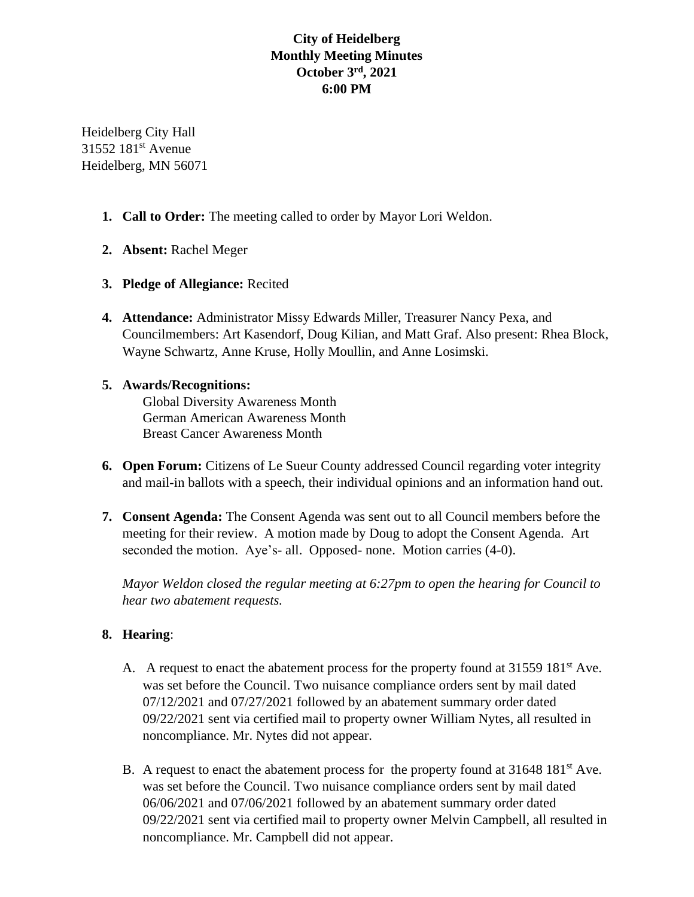# **City of Heidelberg Monthly Meeting Minutes October 3rd, 2021 6:00 PM**

Heidelberg City Hall 31552 181<sup>st</sup> Avenue Heidelberg, MN 56071

- **1. Call to Order:** The meeting called to order by Mayor Lori Weldon.
- **2. Absent:** Rachel Meger
- **3. Pledge of Allegiance:** Recited
- **4. Attendance:** Administrator Missy Edwards Miller, Treasurer Nancy Pexa, and Councilmembers: Art Kasendorf, Doug Kilian, and Matt Graf. Also present: Rhea Block, Wayne Schwartz, Anne Kruse, Holly Moullin, and Anne Losimski.

#### **5. Awards/Recognitions:**

Global Diversity Awareness Month German American Awareness Month Breast Cancer Awareness Month

- **6. Open Forum:** Citizens of Le Sueur County addressed Council regarding voter integrity and mail-in ballots with a speech, their individual opinions and an information hand out.
- **7. Consent Agenda:** The Consent Agenda was sent out to all Council members before the meeting for their review. A motion made by Doug to adopt the Consent Agenda. Art seconded the motion. Aye's- all. Opposed- none. Motion carries (4-0).

*Mayor Weldon closed the regular meeting at 6:27pm to open the hearing for Council to hear two abatement requests.*

### **8. Hearing**:

- A. A request to enact the abatement process for the property found at 31559 181<sup>st</sup> Ave. was set before the Council. Two nuisance compliance orders sent by mail dated 07/12/2021 and 07/27/2021 followed by an abatement summary order dated 09/22/2021 sent via certified mail to property owner William Nytes, all resulted in noncompliance. Mr. Nytes did not appear.
- B. A request to enact the abatement process for the property found at 31648 181<sup>st</sup> Ave. was set before the Council. Two nuisance compliance orders sent by mail dated 06/06/2021 and 07/06/2021 followed by an abatement summary order dated 09/22/2021 sent via certified mail to property owner Melvin Campbell, all resulted in noncompliance. Mr. Campbell did not appear.